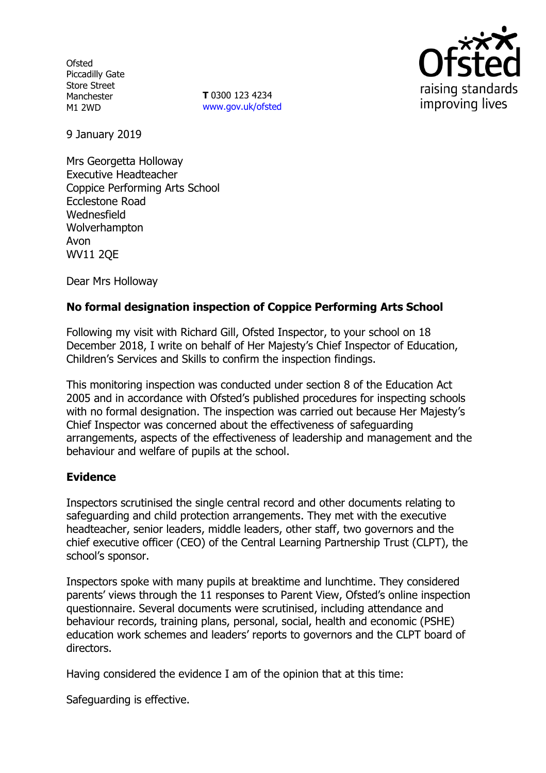**Ofsted** Piccadilly Gate Store Street Manchester M1 2WD

**T** 0300 123 4234 www.gov.uk/ofsted



9 January 2019

Mrs Georgetta Holloway Executive Headteacher Coppice Performing Arts School Ecclestone Road **Wednesfield** Wolverhampton Avon WV11 2QE

Dear Mrs Holloway

## **No formal designation inspection of Coppice Performing Arts School**

Following my visit with Richard Gill, Ofsted Inspector, to your school on 18 December 2018, I write on behalf of Her Majesty's Chief Inspector of Education, Children's Services and Skills to confirm the inspection findings.

This monitoring inspection was conducted under section 8 of the Education Act 2005 and in accordance with Ofsted's published procedures for inspecting schools with no formal designation. The inspection was carried out because Her Majesty's Chief Inspector was concerned about the effectiveness of safeguarding arrangements, aspects of the effectiveness of leadership and management and the behaviour and welfare of pupils at the school.

## **Evidence**

Inspectors scrutinised the single central record and other documents relating to safeguarding and child protection arrangements. They met with the executive headteacher, senior leaders, middle leaders, other staff, two governors and the chief executive officer (CEO) of the Central Learning Partnership Trust (CLPT), the school's sponsor.

Inspectors spoke with many pupils at breaktime and lunchtime. They considered parents' views through the 11 responses to Parent View, Ofsted's online inspection questionnaire. Several documents were scrutinised, including attendance and behaviour records, training plans, personal, social, health and economic (PSHE) education work schemes and leaders' reports to governors and the CLPT board of directors.

Having considered the evidence I am of the opinion that at this time:

Safeguarding is effective.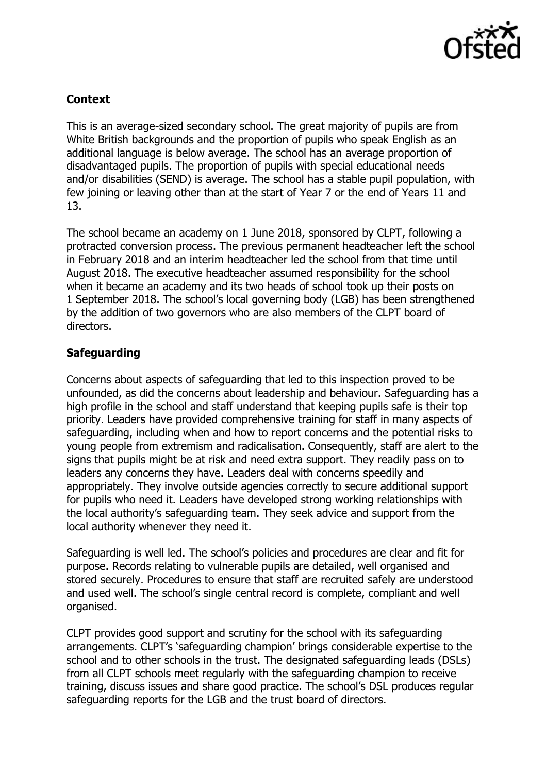

# **Context**

This is an average-sized secondary school. The great majority of pupils are from White British backgrounds and the proportion of pupils who speak English as an additional language is below average. The school has an average proportion of disadvantaged pupils. The proportion of pupils with special educational needs and/or disabilities (SEND) is average. The school has a stable pupil population, with few joining or leaving other than at the start of Year 7 or the end of Years 11 and 13.

The school became an academy on 1 June 2018, sponsored by CLPT, following a protracted conversion process. The previous permanent headteacher left the school in February 2018 and an interim headteacher led the school from that time until August 2018. The executive headteacher assumed responsibility for the school when it became an academy and its two heads of school took up their posts on 1 September 2018. The school's local governing body (LGB) has been strengthened by the addition of two governors who are also members of the CLPT board of directors.

# **Safeguarding**

Concerns about aspects of safeguarding that led to this inspection proved to be unfounded, as did the concerns about leadership and behaviour. Safeguarding has a high profile in the school and staff understand that keeping pupils safe is their top priority. Leaders have provided comprehensive training for staff in many aspects of safeguarding, including when and how to report concerns and the potential risks to young people from extremism and radicalisation. Consequently, staff are alert to the signs that pupils might be at risk and need extra support. They readily pass on to leaders any concerns they have. Leaders deal with concerns speedily and appropriately. They involve outside agencies correctly to secure additional support for pupils who need it. Leaders have developed strong working relationships with the local authority's safeguarding team. They seek advice and support from the local authority whenever they need it.

Safeguarding is well led. The school's policies and procedures are clear and fit for purpose. Records relating to vulnerable pupils are detailed, well organised and stored securely. Procedures to ensure that staff are recruited safely are understood and used well. The school's single central record is complete, compliant and well organised.

CLPT provides good support and scrutiny for the school with its safeguarding arrangements. CLPT's 'safeguarding champion' brings considerable expertise to the school and to other schools in the trust. The designated safeguarding leads (DSLs) from all CLPT schools meet regularly with the safeguarding champion to receive training, discuss issues and share good practice. The school's DSL produces regular safeguarding reports for the LGB and the trust board of directors.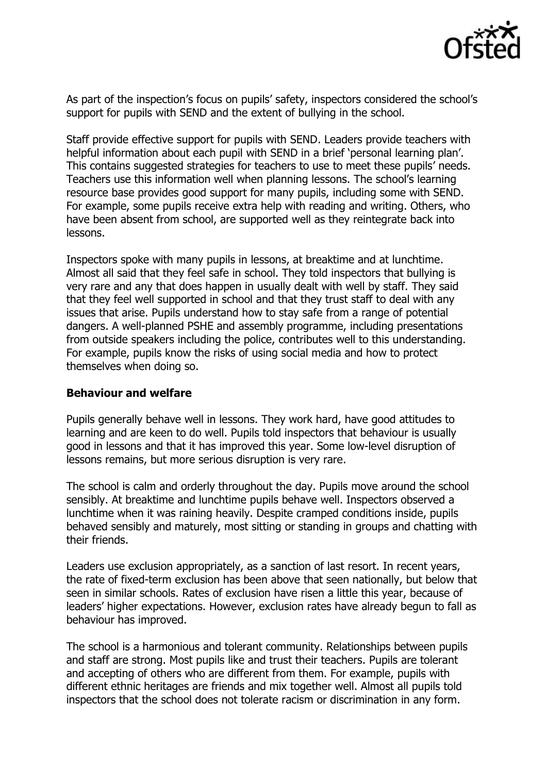

As part of the inspection's focus on pupils' safety, inspectors considered the school's support for pupils with SEND and the extent of bullying in the school.

Staff provide effective support for pupils with SEND. Leaders provide teachers with helpful information about each pupil with SEND in a brief 'personal learning plan'. This contains suggested strategies for teachers to use to meet these pupils' needs. Teachers use this information well when planning lessons. The school's learning resource base provides good support for many pupils, including some with SEND. For example, some pupils receive extra help with reading and writing. Others, who have been absent from school, are supported well as they reintegrate back into lessons.

Inspectors spoke with many pupils in lessons, at breaktime and at lunchtime. Almost all said that they feel safe in school. They told inspectors that bullying is very rare and any that does happen in usually dealt with well by staff. They said that they feel well supported in school and that they trust staff to deal with any issues that arise. Pupils understand how to stay safe from a range of potential dangers. A well-planned PSHE and assembly programme, including presentations from outside speakers including the police, contributes well to this understanding. For example, pupils know the risks of using social media and how to protect themselves when doing so.

### **Behaviour and welfare**

Pupils generally behave well in lessons. They work hard, have good attitudes to learning and are keen to do well. Pupils told inspectors that behaviour is usually good in lessons and that it has improved this year. Some low-level disruption of lessons remains, but more serious disruption is very rare.

The school is calm and orderly throughout the day. Pupils move around the school sensibly. At breaktime and lunchtime pupils behave well. Inspectors observed a lunchtime when it was raining heavily. Despite cramped conditions inside, pupils behaved sensibly and maturely, most sitting or standing in groups and chatting with their friends.

Leaders use exclusion appropriately, as a sanction of last resort. In recent years, the rate of fixed-term exclusion has been above that seen nationally, but below that seen in similar schools. Rates of exclusion have risen a little this year, because of leaders' higher expectations. However, exclusion rates have already begun to fall as behaviour has improved.

The school is a harmonious and tolerant community. Relationships between pupils and staff are strong. Most pupils like and trust their teachers. Pupils are tolerant and accepting of others who are different from them. For example, pupils with different ethnic heritages are friends and mix together well. Almost all pupils told inspectors that the school does not tolerate racism or discrimination in any form.